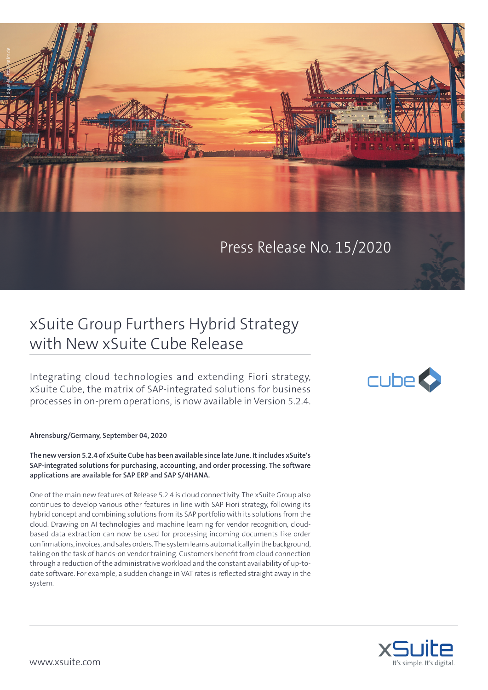

Press Release No. 15/2020

## xSuite Group Furthers Hybrid Strategy with New xSuite Cube Release

Integrating cloud technologies and extending Fiori strategy, xSuite Cube, the matrix of SAP-integrated solutions for business processes in on-prem operations, is now available in Version 5.2.4.

**Ahrensburg/Germany, September 04, 2020**

**The new version 5.2.4 of xSuite Cube has been available since late June. It includes xSuite's SAP-integrated solutions for purchasing, accounting, and order processing. The software applications are available for SAP ERP and SAP S/4HANA.** 

One of the main new features of Release 5.2.4 is cloud connectivity. The xSuite Group also continues to develop various other features in line with SAP Fiori strategy, following its hybrid concept and combining solutions from its SAP portfolio with its solutions from the cloud. Drawing on AI technologies and machine learning for vendor recognition, cloudbased data extraction can now be used for processing incoming documents like order confirmations, invoices, and sales orders. The system learns automatically in the background, taking on the task of hands-on vendor training. Customers benefit from cloud connection through a reduction of the administrative workload and the constant availability of up-todate software. For example, a sudden change in VAT rates is reflected straight away in the system.